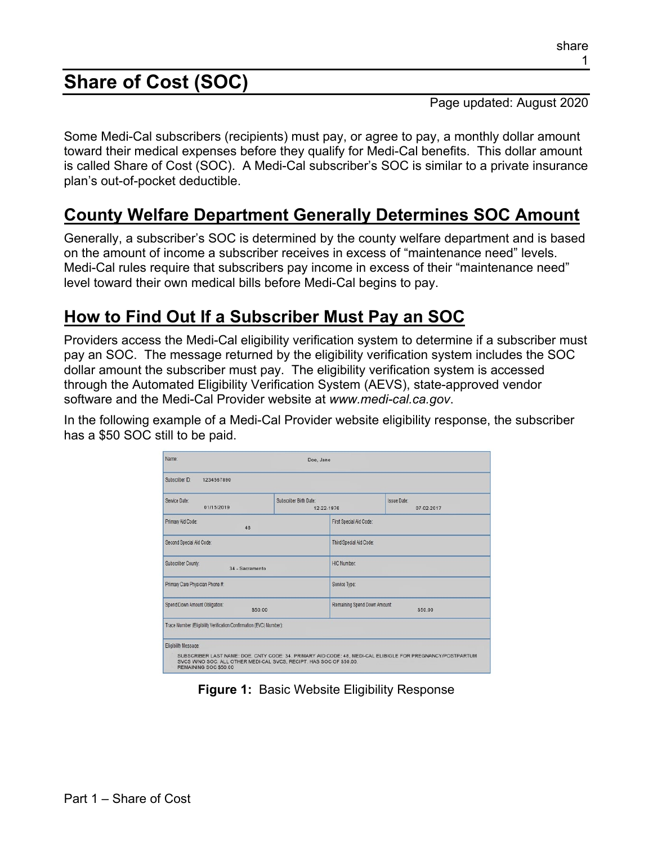# **Share of Cost (SOC)**

Page updated: August 2020

Some Medi-Cal subscribers (recipients) must pay, or agree to pay, a monthly dollar amount toward their medical expenses before they qualify for Medi-Cal benefits. This dollar amount is called Share of Cost (SOC). A Medi-Cal subscriber's SOC is similar to a private insurance plan's out-of-pocket deductible.

### **County Welfare Department Generally Determines SOC Amount**

Generally, a subscriber's SOC is determined by the county welfare department and is based on the amount of income a subscriber receives in excess of "maintenance need" levels. Medi-Cal rules require that subscribers pay income in excess of their "maintenance need" level toward their own medical bills before Medi-Cal begins to pay.

### **How to Find Out If a Subscriber Must Pay an SOC**

Providers access the Medi-Cal eligibility verification system to determine if a subscriber must pay an SOC. The message returned by the eligibility verification system includes the SOC dollar amount the subscriber must pay. The eligibility verification system is accessed through the Automated Eligibility Verification System (AEVS), state-approved vendor software and the Medi-Cal Provider website at *www.medi-cal.ca.gov*.

In the following example of a Medi-Cal Provider website eligibility response, the subscriber has a \$50 SOC still to be paid.

| Name:<br>Doe, Jane                                                                                                   |                                      |                                        |                                                                                                            |  |
|----------------------------------------------------------------------------------------------------------------------|--------------------------------------|----------------------------------------|------------------------------------------------------------------------------------------------------------|--|
| Subscriber ID:<br>1234567890                                                                                         |                                      |                                        |                                                                                                            |  |
| Service Date:<br>01/15/2019                                                                                          | Subscriber Birth Date:<br>12-22-1976 |                                        | <b>Issue Date:</b><br>07-02-2017                                                                           |  |
| Primary Aid Code:<br>48                                                                                              |                                      | First Special Aid Code:                |                                                                                                            |  |
| Second Special Aid Code:                                                                                             |                                      | Third Special Aid Code:                |                                                                                                            |  |
| Subscriber County:<br>34 - Sacramento                                                                                |                                      | <b>HIC Number:</b>                     |                                                                                                            |  |
| Primary Care Physician Phone #:                                                                                      |                                      | Service Type:                          |                                                                                                            |  |
| Spend Down Amount Obligation:<br>\$50.00                                                                             |                                      | Remaining Spend Down Amount<br>\$50.00 |                                                                                                            |  |
| Trace Number (Eligibility Verification Confirmation (EVC) Number):                                                   |                                      |                                        |                                                                                                            |  |
| Eligibility Message:<br>SVCS WINO SOC. ALL OTHER MEDI-CAL SVCS, RECIPT. HAS SOC OF \$50.00.<br>REMAINING SOC \$50.00 |                                      |                                        | SUBSCRIBER LAST NAME: DOE, CNTY CODE: 34, PRIMARY AID CODE: 48, MEDI-CAL ELIBIGLE FOR PREGNANCY/POSTPARTUM |  |

**Figure 1:** Basic Website Eligibility Response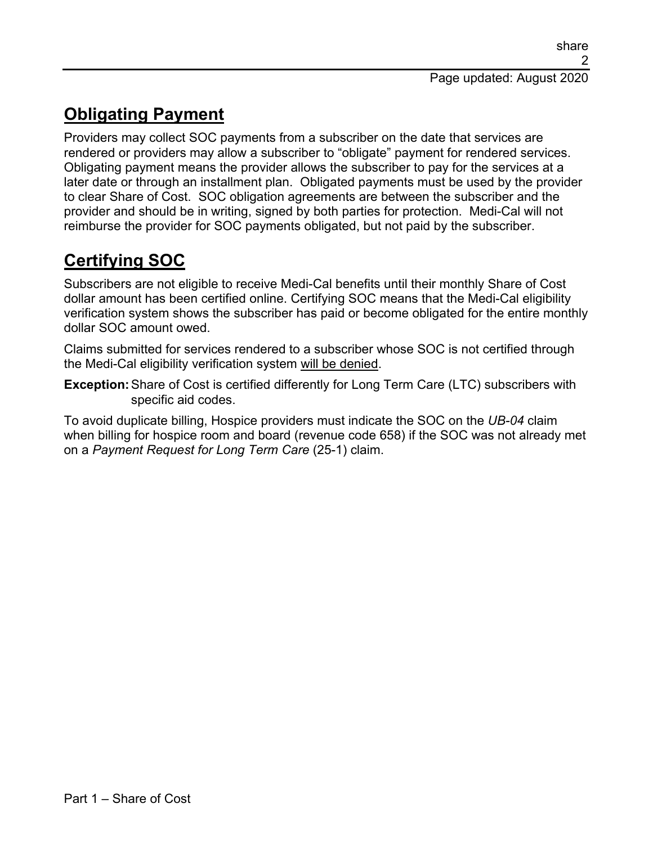# **Obligating Payment**

Providers may collect SOC payments from a subscriber on the date that services are rendered or providers may allow a subscriber to "obligate" payment for rendered services. Obligating payment means the provider allows the subscriber to pay for the services at a later date or through an installment plan. Obligated payments must be used by the provider to clear Share of Cost. SOC obligation agreements are between the subscriber and the provider and should be in writing, signed by both parties for protection. Medi-Cal will not reimburse the provider for SOC payments obligated, but not paid by the subscriber.

# **Certifying SOC**

Subscribers are not eligible to receive Medi-Cal benefits until their monthly Share of Cost dollar amount has been certified online. Certifying SOC means that the Medi-Cal eligibility verification system shows the subscriber has paid or become obligated for the entire monthly dollar SOC amount owed.

Claims submitted for services rendered to a subscriber whose SOC is not certified through the Medi-Cal eligibility verification system will be denied.

**Exception:**Share of Cost is certified differently for Long Term Care (LTC) subscribers with specific aid codes.

To avoid duplicate billing, Hospice providers must indicate the SOC on the *UB-04* claim when billing for hospice room and board (revenue code 658) if the SOC was not already met on a *Payment Request for Long Term Care* (25-1) claim.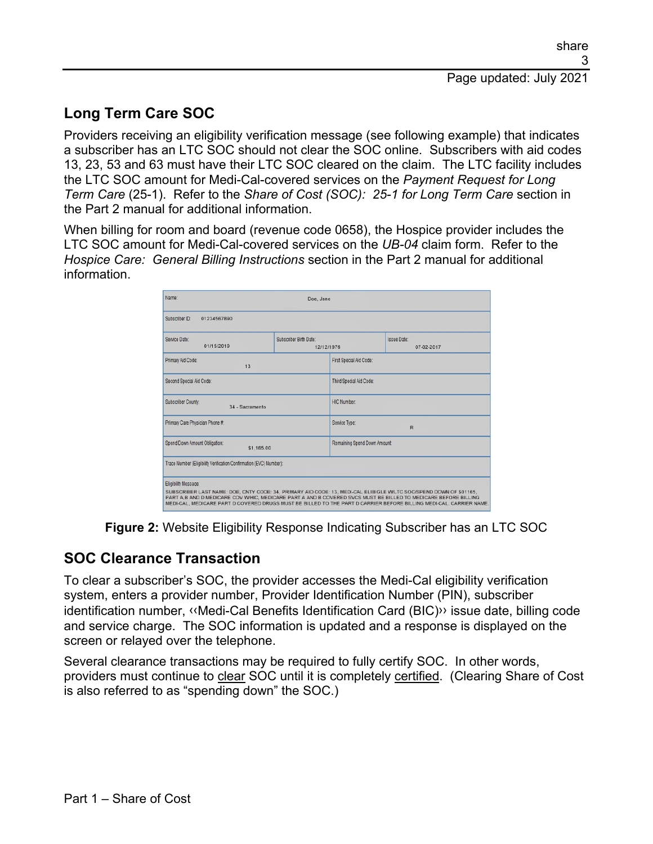### **Long Term Care SOC**

Providers receiving an eligibility verification message (see following example) that indicates a subscriber has an LTC SOC should not clear the SOC online. Subscribers with aid codes 13, 23, 53 and 63 must have their LTC SOC cleared on the claim. The LTC facility includes the LTC SOC amount for Medi-Cal-covered services on the *Payment Request for Long Term Care* (25-1). Refer to the *Share of Cost (SOC): 25-1 for Long Term Care* section in the Part 2 manual for additional information.

When billing for room and board (revenue code 0658), the Hospice provider includes the LTC SOC amount for Medi-Cal-covered services on the *UB-04* claim form. Refer to the *Hospice Care: General Billing Instructions* section in the Part 2 manual for additional information.

| Name:                                                                                                                                      | Doe, Jane                            |                               |                                                                                                                                                                                                                                        |
|--------------------------------------------------------------------------------------------------------------------------------------------|--------------------------------------|-------------------------------|----------------------------------------------------------------------------------------------------------------------------------------------------------------------------------------------------------------------------------------|
| Subscriber ID:<br>01234567890                                                                                                              |                                      |                               |                                                                                                                                                                                                                                        |
| Service Date:<br>01/15/2019                                                                                                                | Subscriber Birth Date:<br>12/12/1976 |                               | <b>Issue Date:</b><br>07-02-2017                                                                                                                                                                                                       |
| Primary Aid Code:<br>13                                                                                                                    |                                      | First Special Aid Code:       |                                                                                                                                                                                                                                        |
| Second Special Aid Code:                                                                                                                   |                                      | Third Special Aid Code:       |                                                                                                                                                                                                                                        |
| Subscriber County:<br>34 - Sacramento                                                                                                      |                                      | <b>HIC Number:</b>            |                                                                                                                                                                                                                                        |
| Primary Care Physician Phone #:                                                                                                            |                                      | Service Type:<br>$\mathbb{R}$ |                                                                                                                                                                                                                                        |
| Spend Down Amount Obligation:<br>\$1,165.00                                                                                                |                                      | Remaining Spend Down Amount   |                                                                                                                                                                                                                                        |
| Trace Number (Eligibility Verification Confirmation (EVC) Number):                                                                         |                                      |                               |                                                                                                                                                                                                                                        |
| Eligibility Message:<br>SUBSCRIBER LAST NAME: DOE, CNTY CODE: 34, PRIMARY AID CODE: 13, MEDI-CAL ELIBIGLE W/LTC SOC/SPEND DOWN OF \$01165, |                                      |                               | PART A B AND D MEDICARE COV WIHIC, MEDICARE PART A AND B COVERED SVCS MUST BE BILLED TO MEDICARE BEFORE BILLING<br>MEDI-CAL, MEDICARE PART D COVERED DRUGS MUST BE BILLED TO THE PART D CARRIER BEFORE BILLING MEDI-CAL. CARRIER NAME. |

**Figure 2:** Website Eligibility Response Indicating Subscriber has an LTC SOC

### **SOC Clearance Transaction**

To clear a subscriber's SOC, the provider accesses the Medi-Cal eligibility verification system, enters a provider number, Provider Identification Number (PIN), subscriber identification number, [‹‹M](#page-16-0)edi-Cal Benefits Identification Card (BIC[\)››](#page-16-1) issue date, billing code and service charge. The SOC information is updated and a response is displayed on the screen or relayed over the telephone.

Several clearance transactions may be required to fully certify SOC. In other words, providers must continue to clear SOC until it is completely certified. (Clearing Share of Cost is also referred to as "spending down" the SOC.)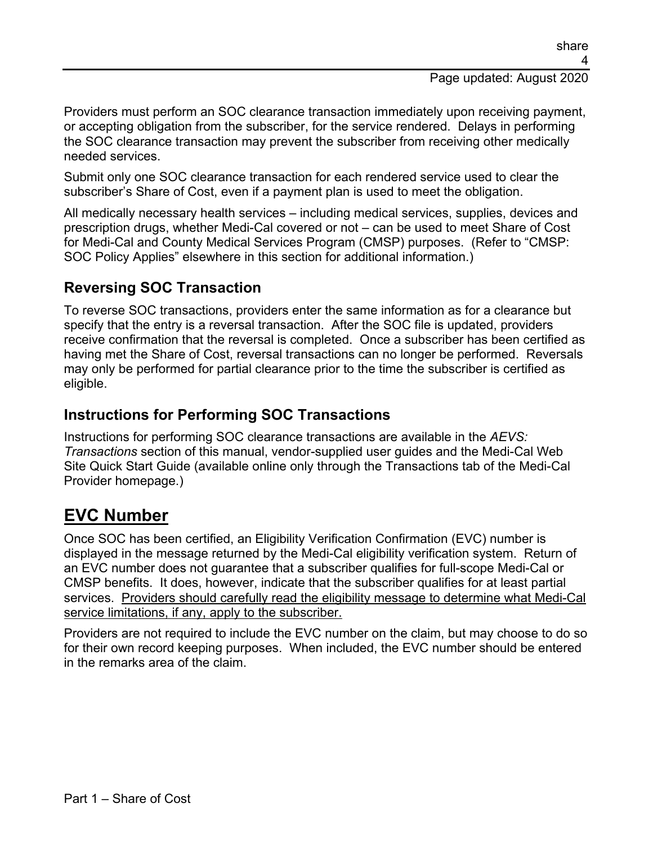#### Page updated: August 2020

Providers must perform an SOC clearance transaction immediately upon receiving payment, or accepting obligation from the subscriber, for the service rendered. Delays in performing the SOC clearance transaction may prevent the subscriber from receiving other medically needed services.

Submit only one SOC clearance transaction for each rendered service used to clear the subscriber's Share of Cost, even if a payment plan is used to meet the obligation.

All medically necessary health services – including medical services, supplies, devices and prescription drugs, whether Medi-Cal covered or not – can be used to meet Share of Cost for Medi-Cal and County Medical Services Program (CMSP) purposes. (Refer to "CMSP: SOC Policy Applies" elsewhere in this section for additional information.)

#### **Reversing SOC Transaction**

To reverse SOC transactions, providers enter the same information as for a clearance but specify that the entry is a reversal transaction. After the SOC file is updated, providers receive confirmation that the reversal is completed. Once a subscriber has been certified as having met the Share of Cost, reversal transactions can no longer be performed. Reversals may only be performed for partial clearance prior to the time the subscriber is certified as eligible.

#### **Instructions for Performing SOC Transactions**

Instructions for performing SOC clearance transactions are available in the *AEVS: Transactions* section of this manual, vendor-supplied user guides and the Medi-Cal Web Site Quick Start Guide (available online only through the Transactions tab of the Medi-Cal Provider homepage.)

### **EVC Number**

Once SOC has been certified, an Eligibility Verification Confirmation (EVC) number is displayed in the message returned by the Medi-Cal eligibility verification system. Return of an EVC number does not guarantee that a subscriber qualifies for full-scope Medi-Cal or CMSP benefits. It does, however, indicate that the subscriber qualifies for at least partial services. Providers should carefully read the eligibility message to determine what Medi-Cal service limitations, if any, apply to the subscriber.

Providers are not required to include the EVC number on the claim, but may choose to do so for their own record keeping purposes. When included, the EVC number should be entered in the remarks area of the claim.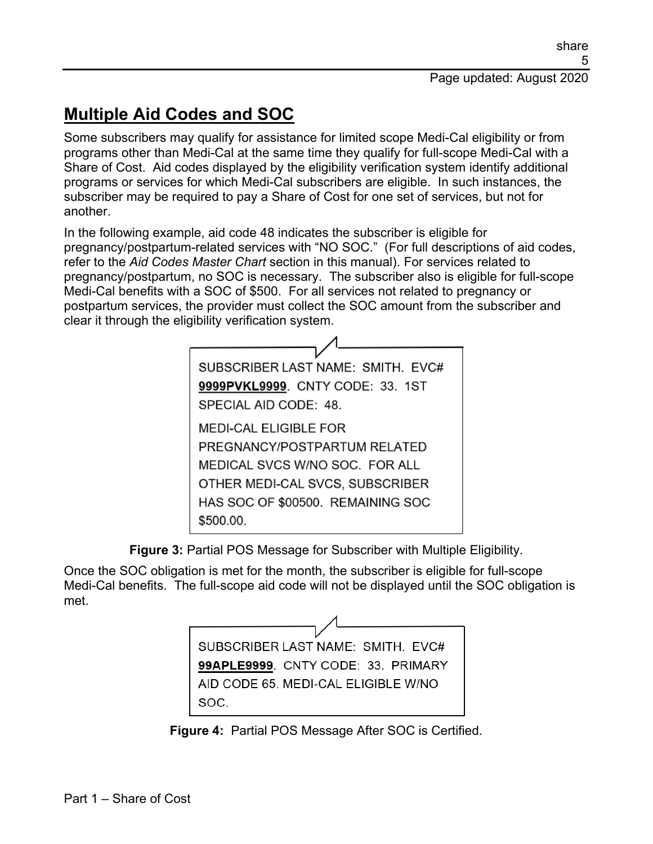# **Multiple Aid Codes and SOC**

Some subscribers may qualify for assistance for limited scope Medi-Cal eligibility or from programs other than Medi-Cal at the same time they qualify for full-scope Medi-Cal with a Share of Cost. Aid codes displayed by the eligibility verification system identify additional programs or services for which Medi-Cal subscribers are eligible. In such instances, the subscriber may be required to pay a Share of Cost for one set of services, but not for another.

In the following example, aid code 48 indicates the subscriber is eligible for pregnancy/postpartum-related services with "NO SOC." (For full descriptions of aid codes, refer to the *Aid Codes Master Chart* section in this manual). For services related to pregnancy/postpartum, no SOC is necessary. The subscriber also is eligible for full-scope Medi-Cal benefits with a SOC of \$500. For all services not related to pregnancy or postpartum services, the provider must collect the SOC amount from the subscriber and clear it through the eligibility verification system.



**Figure 3:** Partial POS Message for Subscriber with Multiple Eligibility.

Once the SOC obligation is met for the month, the subscriber is eligible for full-scope Medi-Cal benefits. The full-scope aid code will not be displayed until the SOC obligation is met.



**Figure 4:** Partial POS Message After SOC is Certified.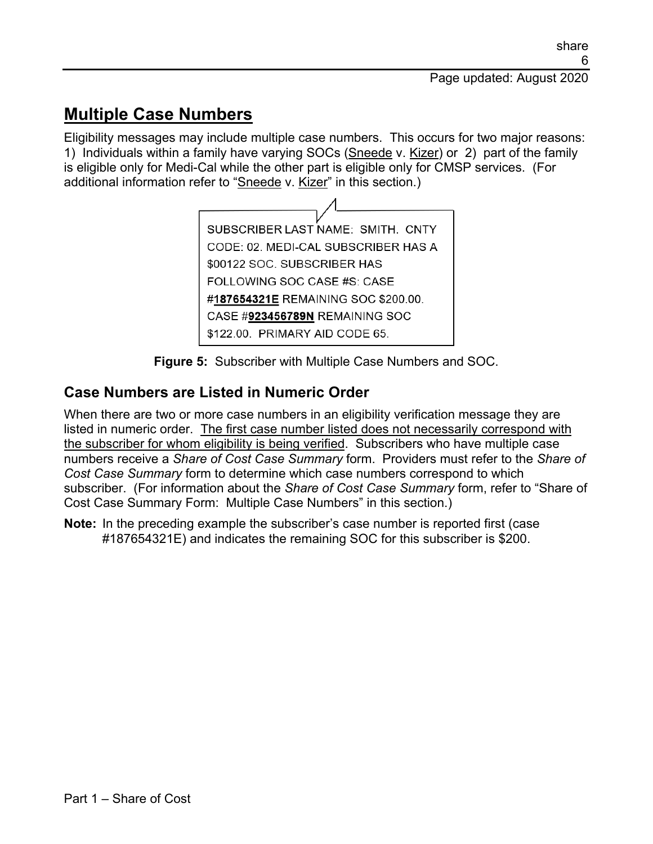### **Multiple Case Numbers**

Eligibility messages may include multiple case numbers. This occurs for two major reasons: 1) Individuals within a family have varying SOCs (Sneede v. Kizer) or 2) part of the family is eligible only for Medi-Cal while the other part is eligible only for CMSP services. (For additional information refer to "Sneede v. Kizer" in this section.)



**Figure 5:** Subscriber with Multiple Case Numbers and SOC.

#### **Case Numbers are Listed in Numeric Order**

When there are two or more case numbers in an eligibility verification message they are listed in numeric order. The first case number listed does not necessarily correspond with the subscriber for whom eligibility is being verified. Subscribers who have multiple case numbers receive a *Share of Cost Case Summary* form. Providers must refer to the *Share of Cost Case Summary* form to determine which case numbers correspond to which subscriber. (For information about the *Share of Cost Case Summary* form, refer to "Share of Cost Case Summary Form: Multiple Case Numbers" in this section.)

**Note:** In the preceding example the subscriber's case number is reported first (case #187654321E) and indicates the remaining SOC for this subscriber is \$200.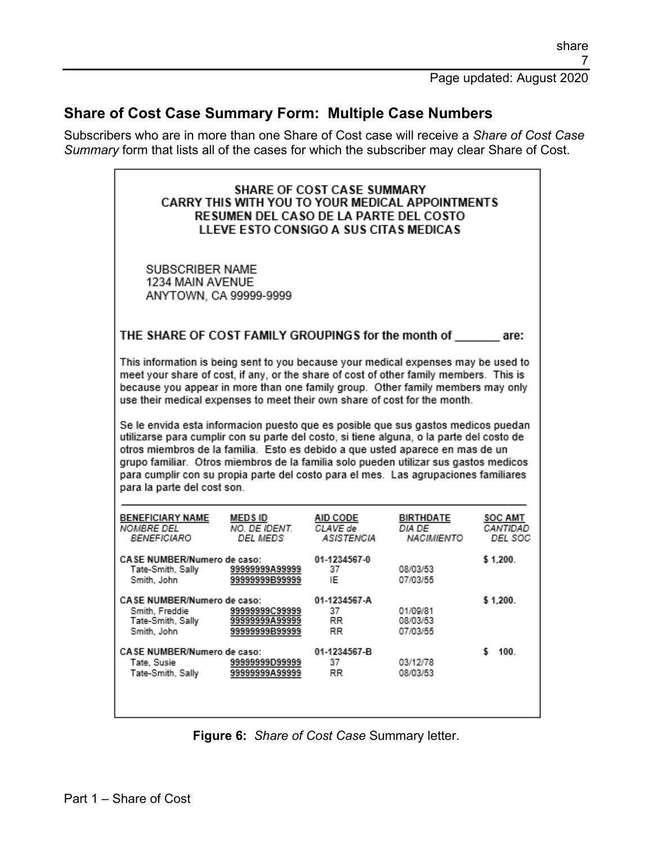#### **Share of Cost Case Summary Form: Multiple Case Numbers**

Subscribers who are in more than one Share of Cost case will receive a *Share of Cost Case Summary* form that lists all of the cases for which the subscriber may clear Share of Cost.

| <b>SHARE OF COST CASE SUMMARY</b><br>CARRY THIS WITH YOU TO YOUR MEDICAL APPOINTMENTS<br>RESUMEN DEL CASO DE LA PARTE DEL COSTO<br>LLEVE ESTO CONSIGO A SUS CITAS MEDICAS                                                                                                                                                                                                                                                                                                                                                     |                                                    |                                    |                                   |                                       |
|-------------------------------------------------------------------------------------------------------------------------------------------------------------------------------------------------------------------------------------------------------------------------------------------------------------------------------------------------------------------------------------------------------------------------------------------------------------------------------------------------------------------------------|----------------------------------------------------|------------------------------------|-----------------------------------|---------------------------------------|
| SUBSCRIBER NAME<br>1234 MAIN AVENUE<br>ANYTOWN, CA 99999-9999                                                                                                                                                                                                                                                                                                                                                                                                                                                                 |                                                    |                                    |                                   |                                       |
| THE SHARE OF COST FAMILY GROUPINGS for the month of                                                                                                                                                                                                                                                                                                                                                                                                                                                                           |                                                    |                                    |                                   | are:                                  |
| This information is being sent to you because your medical expenses may be used to<br>meet your share of cost, if any, or the share of cost of other family members. This is<br>because you appear in more than one family group. Other family members may only<br>use their medical expenses to meet their own share of cost for the month.<br>Se le envida esta informacion puesto que es posible que sus gastos medicos puedan<br>utilizarse para cumplir con su parte del costo, si tiene alguna, o la parte del costo de |                                                    |                                    |                                   |                                       |
| otros miembros de la familia. Esto es debido a que usted aparece en mas de un<br>grupo familiar. Otros miembros de la familia solo pueden utilizar sus gastos medicos<br>para cumplir con su propia parte del costo para el mes. Las agrupaciones familiares<br>para la parte del cost son.                                                                                                                                                                                                                                   |                                                    |                                    |                                   |                                       |
| <b>BENEFICIARY NAME</b><br>MEDS ID<br>NOMBRE DEL<br>BENEFICIARO                                                                                                                                                                                                                                                                                                                                                                                                                                                               | NO. DE IDENT.<br>DEL MEDS                          | AID CODE<br>CLAVE de<br>ASISTENCIA | BIRTHDATE<br>DIA DE<br>NACIMIENTO | <b>SOC AMT</b><br>CANTIDAD<br>DEL SOC |
| CASE NUMBER/Numero de caso:<br>Tate-Smith, Sally<br>Smith, John                                                                                                                                                                                                                                                                                                                                                                                                                                                               | 99999999A99999<br>9999999B99999                    | 01-1234567-0<br>37<br>IE           | 08/03/53<br>07/03/55              | \$1.200.                              |
| CASE NUMBER/Numero de caso:<br>Smith, Freddie<br>Tate-Smith, Sally<br>Smith, John                                                                                                                                                                                                                                                                                                                                                                                                                                             | 99999999C99999<br>99999999A99999<br>99999999B99999 | 01-1234567-A<br>37<br>RR.<br>RR.   | 01/09/81<br>08/03/53<br>07/03/55  | \$1.200.                              |
| CASE NUMBER/Numero de caso:<br>Tate, Susie<br>Tate-Smith, Sally                                                                                                                                                                                                                                                                                                                                                                                                                                                               | 99999999D99999<br>99999999A99999                   | 01-1234567-B<br>37<br>RR.          | 03/12/78<br>08/03/53              | \$ 100.                               |

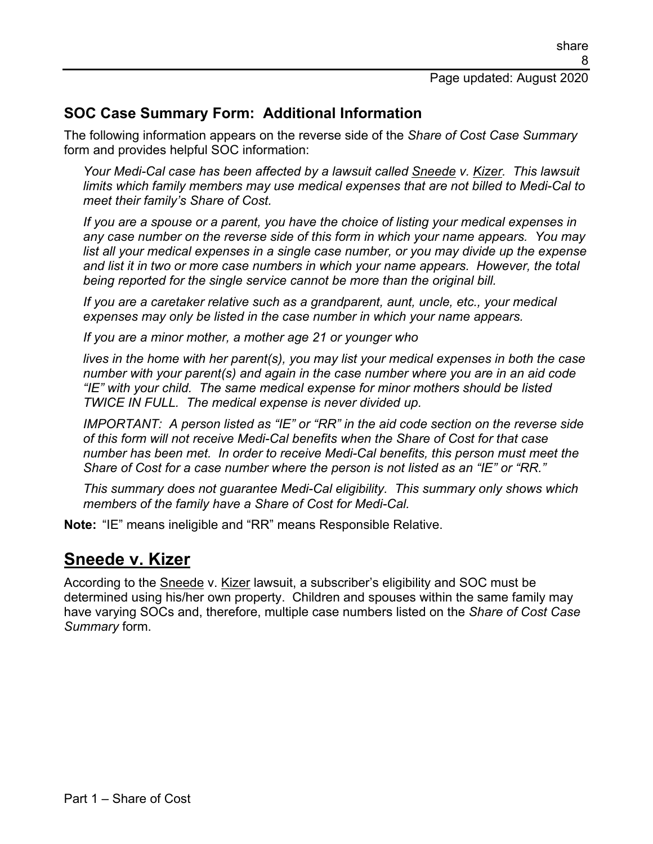#### **SOC Case Summary Form: Additional Information**

The following information appears on the reverse side of the *Share of Cost Case Summary* form and provides helpful SOC information:

*Your Medi-Cal case has been affected by a lawsuit called Sneede v. Kizer. This lawsuit limits which family members may use medical expenses that are not billed to Medi-Cal to meet their family's Share of Cost.*

*If you are a spouse or a parent, you have the choice of listing your medical expenses in any case number on the reverse side of this form in which your name appears. You may list all your medical expenses in a single case number, or you may divide up the expense and list it in two or more case numbers in which your name appears. However, the total being reported for the single service cannot be more than the original bill.*

*If you are a caretaker relative such as a grandparent, aunt, uncle, etc., your medical expenses may only be listed in the case number in which your name appears.*

*If you are a minor mother, a mother age 21 or younger who* 

*lives in the home with her parent(s), you may list your medical expenses in both the case number with your parent(s) and again in the case number where you are in an aid code "IE" with your child. The same medical expense for minor mothers should be listed TWICE IN FULL. The medical expense is never divided up.*

*IMPORTANT: A person listed as "IE" or "RR" in the aid code section on the reverse side of this form will not receive Medi-Cal benefits when the Share of Cost for that case number has been met. In order to receive Medi-Cal benefits, this person must meet the Share of Cost for a case number where the person is not listed as an "IE" or "RR."*

*This summary does not guarantee Medi-Cal eligibility. This summary only shows which members of the family have a Share of Cost for Medi-Cal.*

**Note:** "IE" means ineligible and "RR" means Responsible Relative.

### **Sneede v. Kizer**

According to the Sneede v. Kizer lawsuit, a subscriber's eligibility and SOC must be determined using his/her own property. Children and spouses within the same family may have varying SOCs and, therefore, multiple case numbers listed on the *Share of Cost Case Summary* form.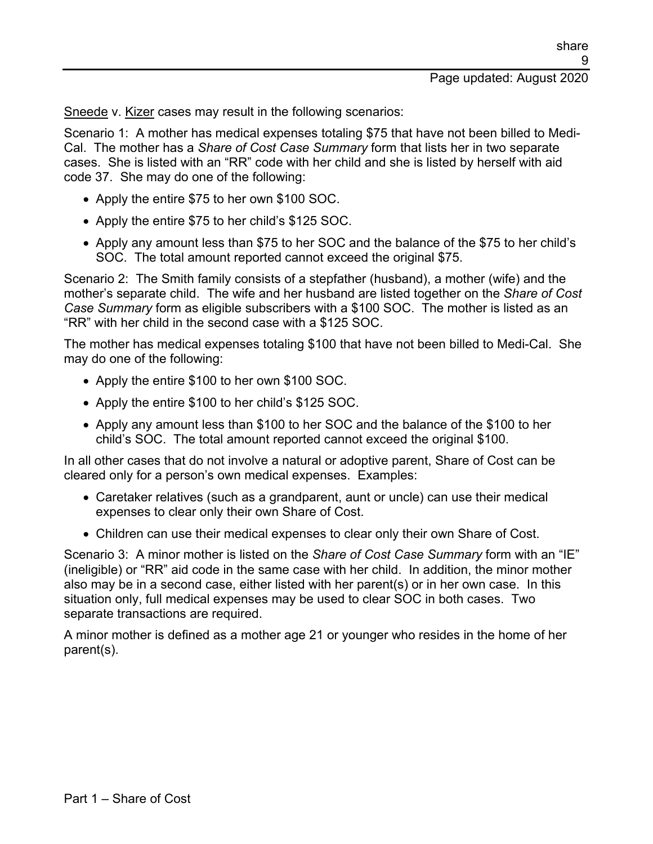Sneede v. Kizer cases may result in the following scenarios:

Scenario 1: A mother has medical expenses totaling \$75 that have not been billed to Medi-Cal. The mother has a *Share of Cost Case Summary* form that lists her in two separate cases. She is listed with an "RR" code with her child and she is listed by herself with aid code 37. She may do one of the following:

- Apply the entire \$75 to her own \$100 SOC.
- Apply the entire \$75 to her child's \$125 SOC.
- Apply any amount less than \$75 to her SOC and the balance of the \$75 to her child's SOC. The total amount reported cannot exceed the original \$75.

Scenario 2: The Smith family consists of a stepfather (husband), a mother (wife) and the mother's separate child. The wife and her husband are listed together on the *Share of Cost Case Summary* form as eligible subscribers with a \$100 SOC. The mother is listed as an "RR" with her child in the second case with a \$125 SOC.

The mother has medical expenses totaling \$100 that have not been billed to Medi-Cal. She may do one of the following:

- Apply the entire \$100 to her own \$100 SOC.
- Apply the entire \$100 to her child's \$125 SOC.
- Apply any amount less than \$100 to her SOC and the balance of the \$100 to her child's SOC. The total amount reported cannot exceed the original \$100.

In all other cases that do not involve a natural or adoptive parent, Share of Cost can be cleared only for a person's own medical expenses. Examples:

- Caretaker relatives (such as a grandparent, aunt or uncle) can use their medical expenses to clear only their own Share of Cost.
- Children can use their medical expenses to clear only their own Share of Cost.

Scenario 3: A minor mother is listed on the *Share of Cost Case Summary* form with an "IE" (ineligible) or "RR" aid code in the same case with her child. In addition, the minor mother also may be in a second case, either listed with her parent(s) or in her own case. In this situation only, full medical expenses may be used to clear SOC in both cases. Two separate transactions are required.

A minor mother is defined as a mother age 21 or younger who resides in the home of her parent(s).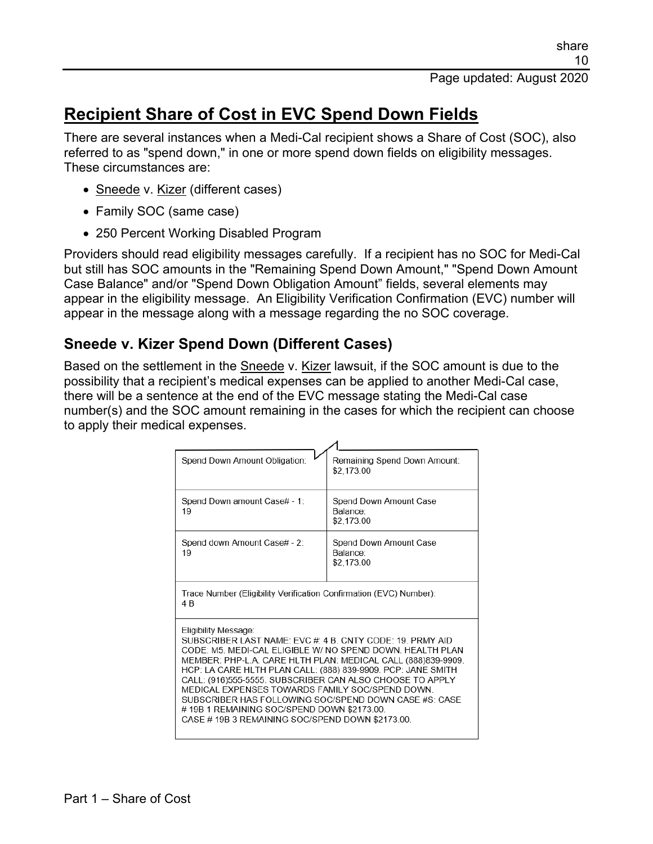### **Recipient Share of Cost in EVC Spend Down Fields**

There are several instances when a Medi-Cal recipient shows a Share of Cost (SOC), also referred to as "spend down," in one or more spend down fields on eligibility messages. These circumstances are:

- Sneede v. Kizer (different cases)
- Family SOC (same case)
- 250 Percent Working Disabled Program

Providers should read eligibility messages carefully. If a recipient has no SOC for Medi-Cal but still has SOC amounts in the "Remaining Spend Down Amount," "Spend Down Amount Case Balance" and/or "Spend Down Obligation Amount" fields, several elements may appear in the eligibility message. An Eligibility Verification Confirmation (EVC) number will appear in the message along with a message regarding the no SOC coverage.

#### **Sneede v. Kizer Spend Down (Different Cases)**

Based on the settlement in the Sneede v. Kizer lawsuit, if the SOC amount is due to the possibility that a recipient's medical expenses can be applied to another Medi-Cal case, there will be a sentence at the end of the EVC message stating the Medi-Cal case number(s) and the SOC amount remaining in the cases for which the recipient can choose to apply their medical expenses.

| Spend Down Amount Obligation:                                                                                                                                                                                                                                                                                                                                                                                                                                                                                                                      | Remaining Spend Down Amount:<br>\$2,173.00       |  |
|----------------------------------------------------------------------------------------------------------------------------------------------------------------------------------------------------------------------------------------------------------------------------------------------------------------------------------------------------------------------------------------------------------------------------------------------------------------------------------------------------------------------------------------------------|--------------------------------------------------|--|
| Spend Down amount Case# - 1:<br>19                                                                                                                                                                                                                                                                                                                                                                                                                                                                                                                 | Spend Down Amount Case<br>Balance:<br>\$2,173.00 |  |
| Spend down Amount Case# - 2:<br>19                                                                                                                                                                                                                                                                                                                                                                                                                                                                                                                 | Spend Down Amount Case<br>Balance:<br>\$2,173.00 |  |
| Trace Number (Eligibility Verification Confirmation (EVC) Number):<br>4 B                                                                                                                                                                                                                                                                                                                                                                                                                                                                          |                                                  |  |
| Eligibility Message:<br>SUBSCRIBER LAST NAME: FVC # 4 B CNTY CODE: 19 PRMY AID<br>CODE: M5. MEDI-CAL ELIGIBLE W/ NO SPEND DOWN. HEALTH PLAN<br>MEMBER: PHP-L.A. CARE HLTH PLAN: MEDICAL CALL (888)839-9909.<br>HCP: LA CARE HLTH PLAN CALL: (888) 839-9909. PCP: JANE SMITH<br>CALL: (916)555-5555. SUBSCRIBER CAN ALSO CHOOSE TO APPLY<br>MEDICAL EXPENSES TOWARDS FAMILY SOC/SPEND DOWN<br>SUBSCRIBER HAS FOLLOWING SOC/SPEND DOWN CASE #S: CASE<br>#19B1 REMAINING SOC/SPEND DOWN \$2173.00.<br>CASE #19B 3 REMAINING SOC/SPEND DOWN \$2173.00. |                                                  |  |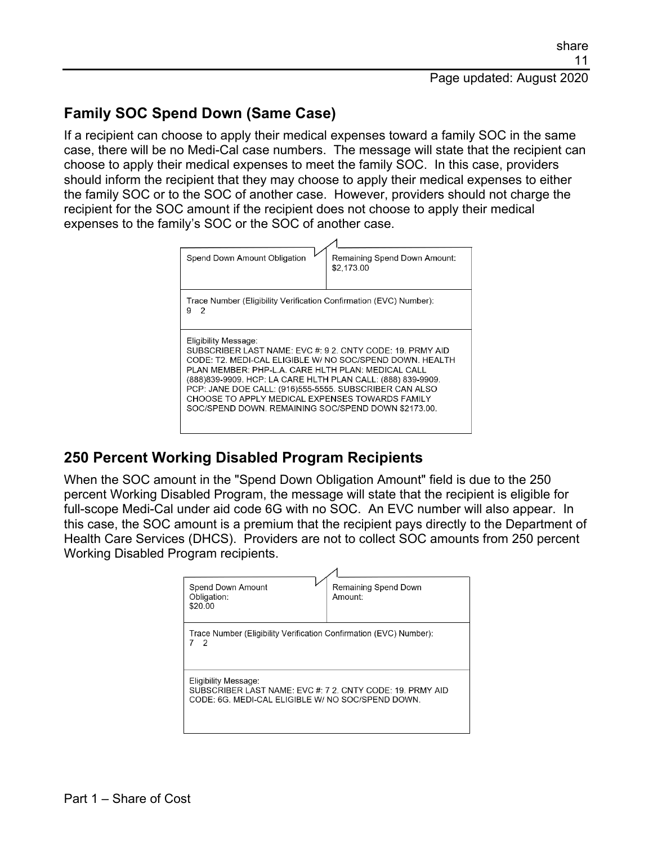#### **Family SOC Spend Down (Same Case)**

If a recipient can choose to apply their medical expenses toward a family SOC in the same case, there will be no Medi-Cal case numbers. The message will state that the recipient can choose to apply their medical expenses to meet the family SOC. In this case, providers should inform the recipient that they may choose to apply their medical expenses to either the family SOC or to the SOC of another case. However, providers should not charge the recipient for the SOC amount if the recipient does not choose to apply their medical expenses to the family's SOC or the SOC of another case.



#### **250 Percent Working Disabled Program Recipients**

When the SOC amount in the "Spend Down Obligation Amount" field is due to the 250 percent Working Disabled Program, the message will state that the recipient is eligible for full-scope Medi-Cal under aid code 6G with no SOC. An EVC number will also appear. In this case, the SOC amount is a premium that the recipient pays directly to the Department of Health Care Services (DHCS). Providers are not to collect SOC amounts from 250 percent Working Disabled Program recipients.

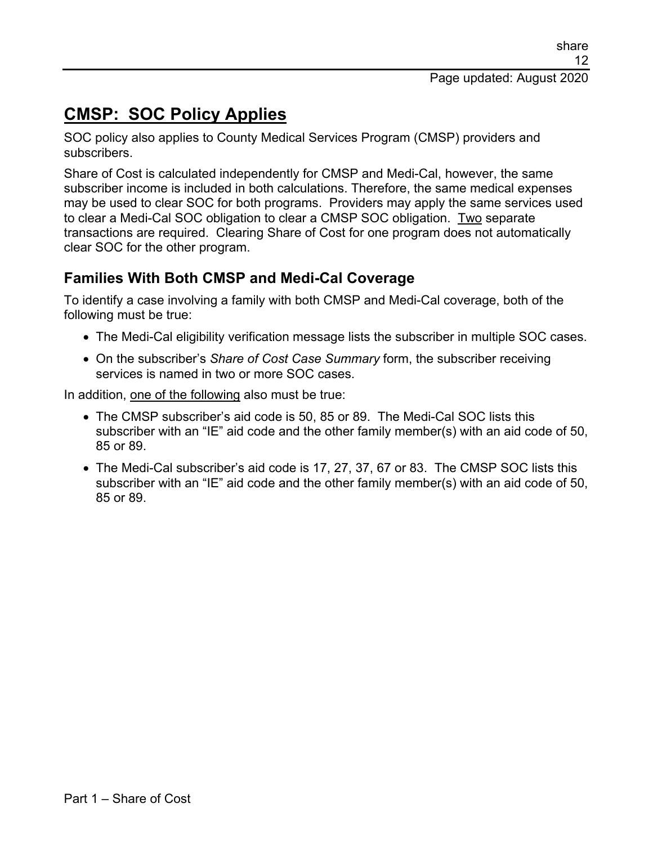# **CMSP: SOC Policy Applies**

SOC policy also applies to County Medical Services Program (CMSP) providers and subscribers.

Share of Cost is calculated independently for CMSP and Medi-Cal, however, the same subscriber income is included in both calculations. Therefore, the same medical expenses may be used to clear SOC for both programs. Providers may apply the same services used to clear a Medi-Cal SOC obligation to clear a CMSP SOC obligation. Two separate transactions are required. Clearing Share of Cost for one program does not automatically clear SOC for the other program.

#### **Families With Both CMSP and Medi-Cal Coverage**

To identify a case involving a family with both CMSP and Medi-Cal coverage, both of the following must be true:

- The Medi-Cal eligibility verification message lists the subscriber in multiple SOC cases.
- On the subscriber's *Share of Cost Case Summary* form, the subscriber receiving services is named in two or more SOC cases.

In addition, one of the following also must be true:

- The CMSP subscriber's aid code is 50, 85 or 89. The Medi-Cal SOC lists this subscriber with an "IE" aid code and the other family member(s) with an aid code of 50, 85 or 89.
- The Medi-Cal subscriber's aid code is 17, 27, 37, 67 or 83. The CMSP SOC lists this subscriber with an "IE" aid code and the other family member(s) with an aid code of 50, 85 or 89.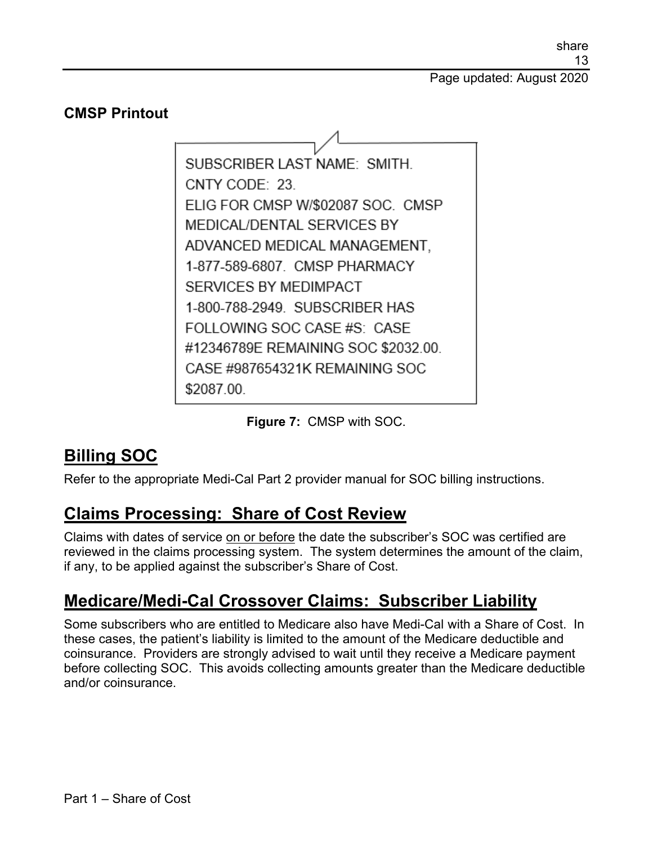Page updated: August 2020

#### **CMSP Printout**

SUBSCRIBER LAST NAME: SMITH. CNTY CODE: 23 ELIG FOR CMSP W/\$02087 SOC. CMSP MEDICAL/DENTAL SERVICES BY ADVANCED MEDICAL MANAGEMENT, 1-877-589-6807. CMSP PHARMACY SERVICES BY MEDIMPACT 1-800-788-2949. SUBSCRIBER HAS FOLLOWING SOC CASE #S: CASE #12346789E REMAINING SOC \$2032.00. CASE #987654321K REMAINING SOC \$2087.00.

**Figure 7:** CMSP with SOC.

### **Billing SOC**

Refer to the appropriate Medi-Cal Part 2 provider manual for SOC billing instructions.

### **Claims Processing: Share of Cost Review**

Claims with dates of service on or before the date the subscriber's SOC was certified are reviewed in the claims processing system. The system determines the amount of the claim, if any, to be applied against the subscriber's Share of Cost.

### **Medicare/Medi-Cal Crossover Claims: Subscriber Liability**

Some subscribers who are entitled to Medicare also have Medi-Cal with a Share of Cost. In these cases, the patient's liability is limited to the amount of the Medicare deductible and coinsurance. Providers are strongly advised to wait until they receive a Medicare payment before collecting SOC. This avoids collecting amounts greater than the Medicare deductible and/or coinsurance.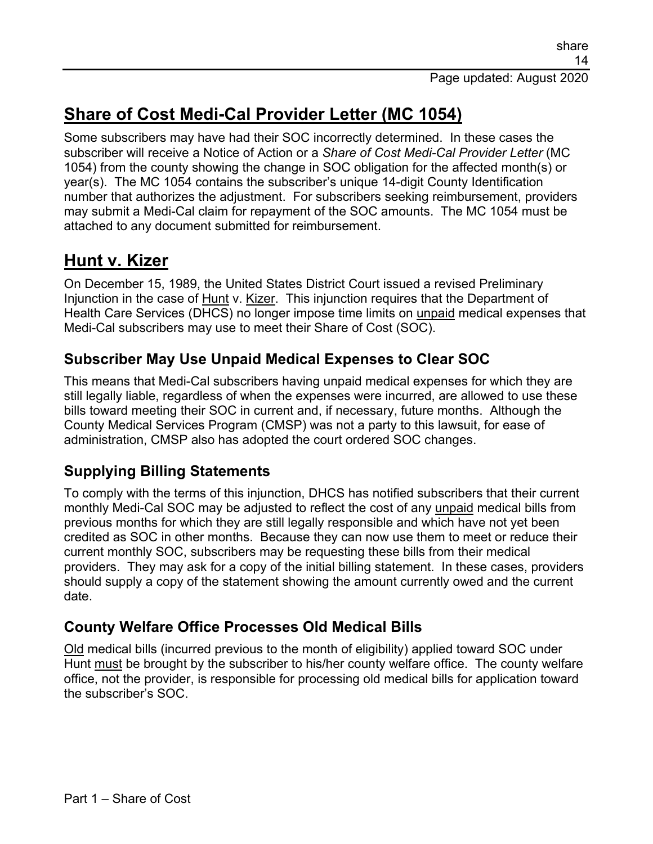# **Share of Cost Medi-Cal Provider Letter (MC 1054)**

Some subscribers may have had their SOC incorrectly determined. In these cases the subscriber will receive a Notice of Action or a *Share of Cost Medi-Cal Provider Letter* (MC 1054) from the county showing the change in SOC obligation for the affected month(s) or year(s). The MC 1054 contains the subscriber's unique 14-digit County Identification number that authorizes the adjustment. For subscribers seeking reimbursement, providers may submit a Medi-Cal claim for repayment of the SOC amounts. The MC 1054 must be attached to any document submitted for reimbursement.

### **Hunt v. Kizer**

On December 15, 1989, the United States District Court issued a revised Preliminary Injunction in the case of Hunt v. Kizer. This injunction requires that the Department of Health Care Services (DHCS) no longer impose time limits on unpaid medical expenses that Medi-Cal subscribers may use to meet their Share of Cost (SOC).

#### **Subscriber May Use Unpaid Medical Expenses to Clear SOC**

This means that Medi-Cal subscribers having unpaid medical expenses for which they are still legally liable, regardless of when the expenses were incurred, are allowed to use these bills toward meeting their SOC in current and, if necessary, future months. Although the County Medical Services Program (CMSP) was not a party to this lawsuit, for ease of administration, CMSP also has adopted the court ordered SOC changes.

#### **Supplying Billing Statements**

To comply with the terms of this injunction, DHCS has notified subscribers that their current monthly Medi-Cal SOC may be adjusted to reflect the cost of any unpaid medical bills from previous months for which they are still legally responsible and which have not yet been credited as SOC in other months. Because they can now use them to meet or reduce their current monthly SOC, subscribers may be requesting these bills from their medical providers. They may ask for a copy of the initial billing statement. In these cases, providers should supply a copy of the statement showing the amount currently owed and the current date.

#### **County Welfare Office Processes Old Medical Bills**

Old medical bills (incurred previous to the month of eligibility) applied toward SOC under Hunt must be brought by the subscriber to his/her county welfare office. The county welfare office, not the provider, is responsible for processing old medical bills for application toward the subscriber's SOC.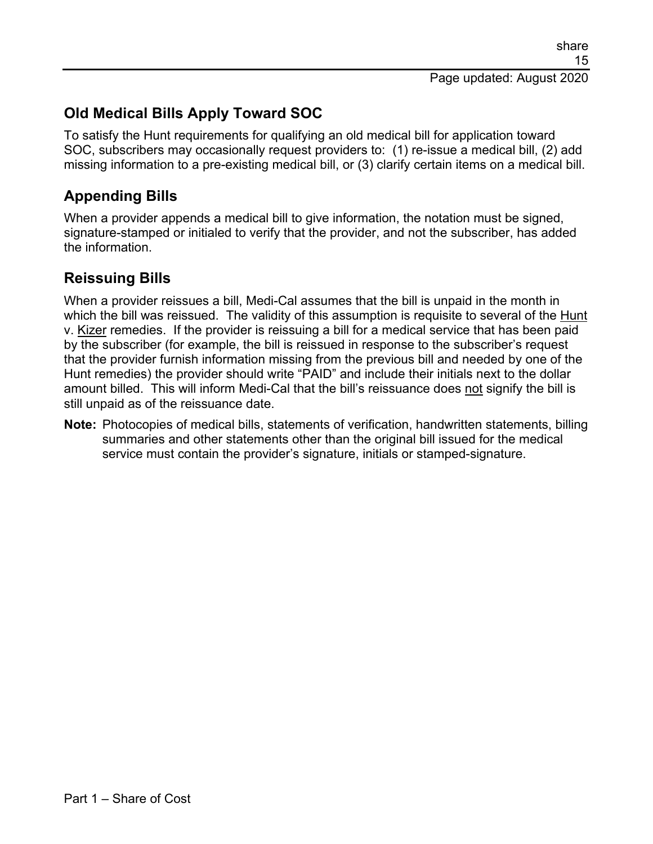### **Old Medical Bills Apply Toward SOC**

To satisfy the Hunt requirements for qualifying an old medical bill for application toward SOC, subscribers may occasionally request providers to: (1) re-issue a medical bill, (2) add missing information to a pre-existing medical bill, or (3) clarify certain items on a medical bill.

#### **Appending Bills**

When a provider appends a medical bill to give information, the notation must be signed, signature-stamped or initialed to verify that the provider, and not the subscriber, has added the information.

#### **Reissuing Bills**

When a provider reissues a bill, Medi-Cal assumes that the bill is unpaid in the month in which the bill was reissued. The validity of this assumption is requisite to several of the Hunt v. Kizer remedies. If the provider is reissuing a bill for a medical service that has been paid by the subscriber (for example, the bill is reissued in response to the subscriber's request that the provider furnish information missing from the previous bill and needed by one of the Hunt remedies) the provider should write "PAID" and include their initials next to the dollar amount billed. This will inform Medi-Cal that the bill's reissuance does not signify the bill is still unpaid as of the reissuance date.

**Note:** Photocopies of medical bills, statements of verification, handwritten statements, billing summaries and other statements other than the original bill issued for the medical service must contain the provider's signature, initials or stamped-signature.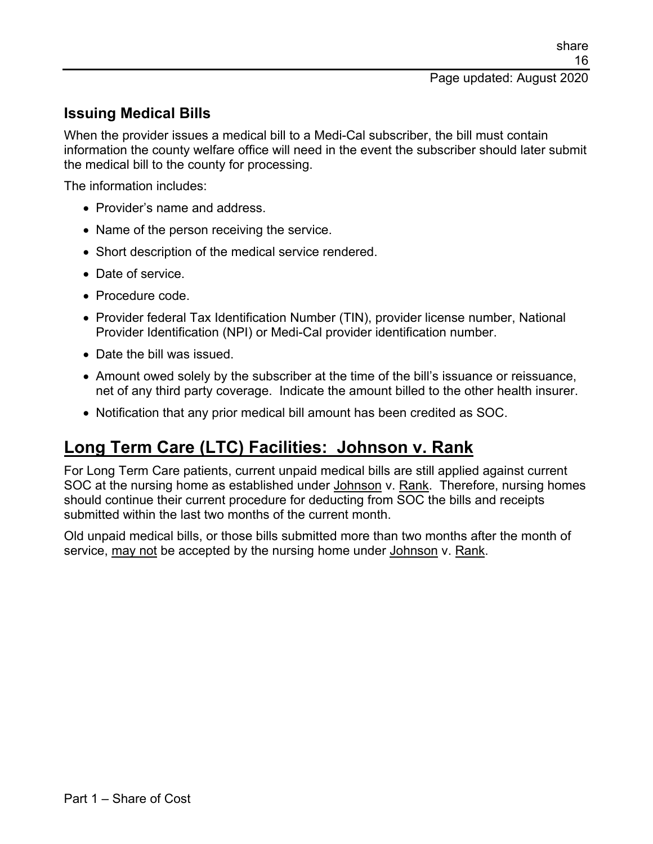#### **Issuing Medical Bills**

When the provider issues a medical bill to a Medi-Cal subscriber, the bill must contain information the county welfare office will need in the event the subscriber should later submit the medical bill to the county for processing.

The information includes:

- Provider's name and address.
- Name of the person receiving the service.
- Short description of the medical service rendered.
- Date of service.
- Procedure code.
- Provider federal Tax Identification Number (TIN), provider license number, National Provider Identification (NPI) or Medi-Cal provider identification number.
- Date the bill was issued.
- Amount owed solely by the subscriber at the time of the bill's issuance or reissuance. net of any third party coverage. Indicate the amount billed to the other health insurer.
- Notification that any prior medical bill amount has been credited as SOC.

### **Long Term Care (LTC) Facilities: Johnson v. Rank**

For Long Term Care patients, current unpaid medical bills are still applied against current SOC at the nursing home as established under Johnson v. Rank. Therefore, nursing homes should continue their current procedure for deducting from SOC the bills and receipts submitted within the last two months of the current month.

Old unpaid medical bills, or those bills submitted more than two months after the month of service, may not be accepted by the nursing home under Johnson v. Rank.